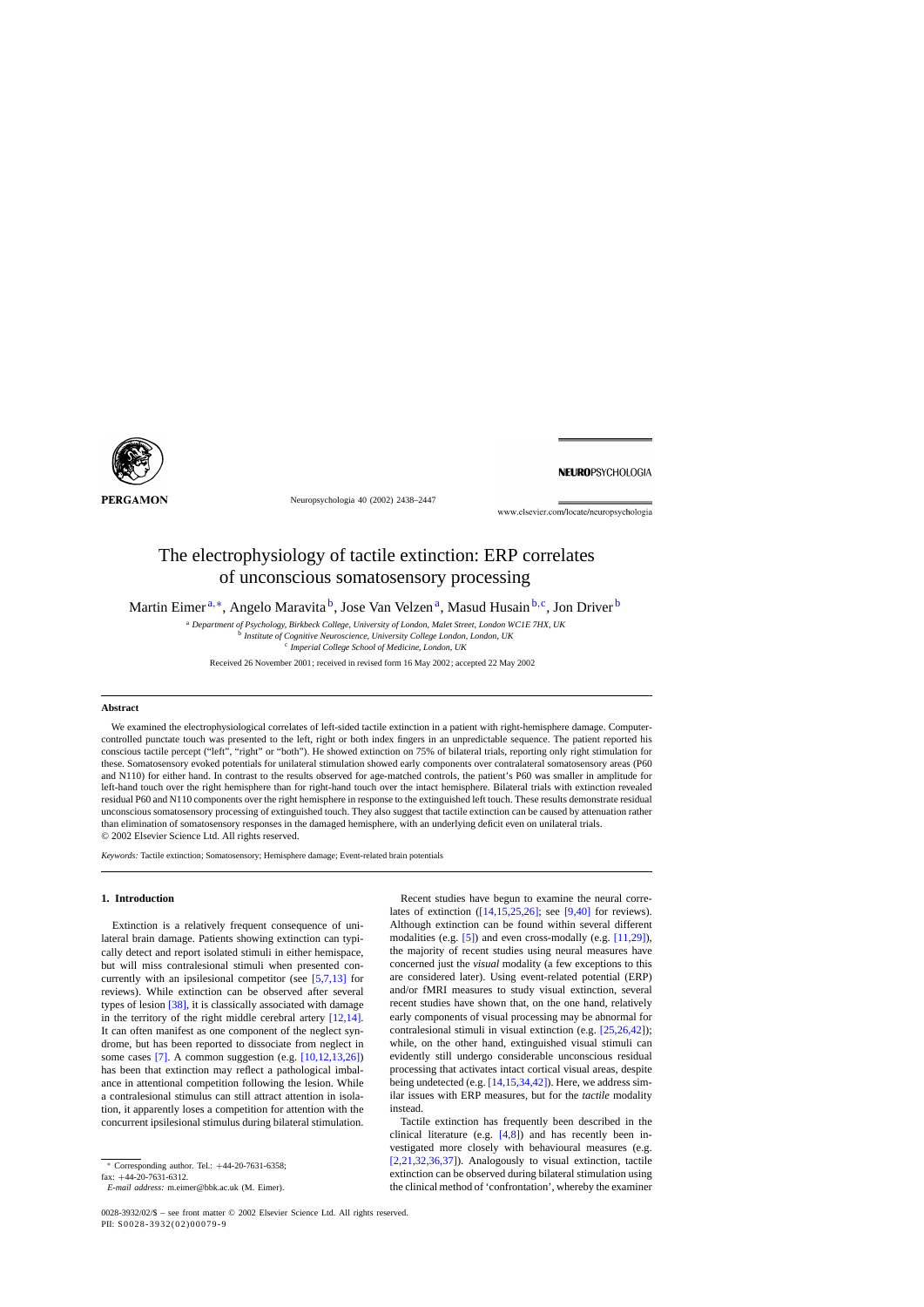<span id="page-0-0"></span>

Neuropsychologia 40 (2002) 2438–2447

NEUROPSYCHOLOGIA

www.elsevier.com/locate/neuropsychologia

# The electrophysiology of tactile extinction: ERP correlates of unconscious somatosensory processing

Martin Eimer<sup>a,∗</sup>, Angelo Maravita<sup>b</sup>, Jose Van Velzen<sup>a</sup>, Masud Husain<sup>b,c</sup>, Jon Driver<sup>b</sup>

<sup>a</sup> *Department of Psychology, Birkbeck College, University of London, Malet Street, London WC1E 7HX, UK* <sup>b</sup> *Institute of Cognitive Neuroscience, University College London, London, UK*

<sup>c</sup> *Imperial College School of Medicine, London, UK*

Received 26 November 2001; received in revised form 16 May 2002; accepted 22 May 2002

#### **Abstract**

We examined the electrophysiological correlates of left-sided tactile extinction in a patient with right-hemisphere damage. Computercontrolled punctate touch was presented to the left, right or both index fingers in an unpredictable sequence. The patient reported his conscious tactile percept ("left", "right" or "both"). He showed extinction on 75% of bilateral trials, reporting only right stimulation for these. Somatosensory evoked potentials for unilateral stimulation showed early components over contralateral somatosensory areas (P60 and N110) for either hand. In contrast to the results observed for age-matched controls, the patient's P60 was smaller in amplitude for left-hand touch over the right hemisphere than for right-hand touch over the intact hemisphere. Bilateral trials with extinction revealed residual P60 and N110 components over the right hemisphere in response to the extinguished left touch. These results demonstrate residual unconscious somatosensory processing of extinguished touch. They also suggest that tactile extinction can be caused by attenuation rather than elimination of somatosensory responses in the damaged hemisphere, with an underlying deficit even on unilateral trials. © 2002 Elsevier Science Ltd. All rights reserved.

*Keywords:* Tactile extinction; Somatosensory; Hemisphere damage; Event-related brain potentials

# **1. Introduction**

Extinction is a relatively frequent consequence of unilateral brain damage. Patients showing extinction can typically detect and report isolated stimuli in either hemispace, but will miss contralesional stimuli when presented concurrently with an ipsilesional competitor (see [\[5,7,13\]](#page-9-0) for reviews). While extinction can be observed after several types of lesion [\[38\],](#page-9-0) it is classically associated with damage in the territory of the right middle cerebral artery  $[12,14]$ . It can often manifest as one component of the neglect syndrome, but has been reported to dissociate from neglect in some cases [\[7\].](#page-9-0) A common suggestion (e.g. [\[10,12,13,26\]\)](#page-9-0) has been that extinction may reflect a pathological imbalance in attentional competition following the lesion. While a contralesional stimulus can still attract attention in isolation, it apparently loses a competition for attention with the concurrent ipsilesional stimulus during bilateral stimulation.

Recent studies have begun to examine the neural correlates of extinction [\(\[14,15,25,26\];](#page-9-0) see [\[9,40\]](#page-9-0) for reviews). Although extinction can be found within several different modalities (e.g. [\[5\]\)](#page-9-0) and even cross-modally (e.g. [\[11,29\]\),](#page-9-0) the majority of recent studies using neural measures have concerned just the *visual* modality (a few exceptions to this are considered later). Using event-related potential (ERP) and/or fMRI measures to study visual extinction, several recent studies have shown that, on the one hand, relatively early components of visual processing may be abnormal for contralesional stimuli in visual extinction (e.g. [\[25,26,42\]\);](#page-9-0) while, on the other hand, extinguished visual stimuli can evidently still undergo considerable unconscious residual processing that activates intact cortical visual areas, despite being undetected (e.g. [\[14,15,34,42\]\).](#page-9-0) Here, we address similar issues with ERP measures, but for the *tactile* modality instead.

Tactile extinction has frequently been described in the clinical literature (e.g. [\[4,8\]\)](#page-9-0) and has recently been investigated more closely with behavioural measures (e.g. [\[2,21,32,36,37\]\).](#page-9-0) Analogously to visual extinction, tactile extinction can be observed during bilateral stimulation using the clinical method of 'confrontation', whereby the examiner

<sup>∗</sup> Corresponding author. Tel.: +44-20-7631-6358;

fax: +44-20-7631-6312.

*E-mail address:* m.eimer@bbk.ac.uk (M. Eimer).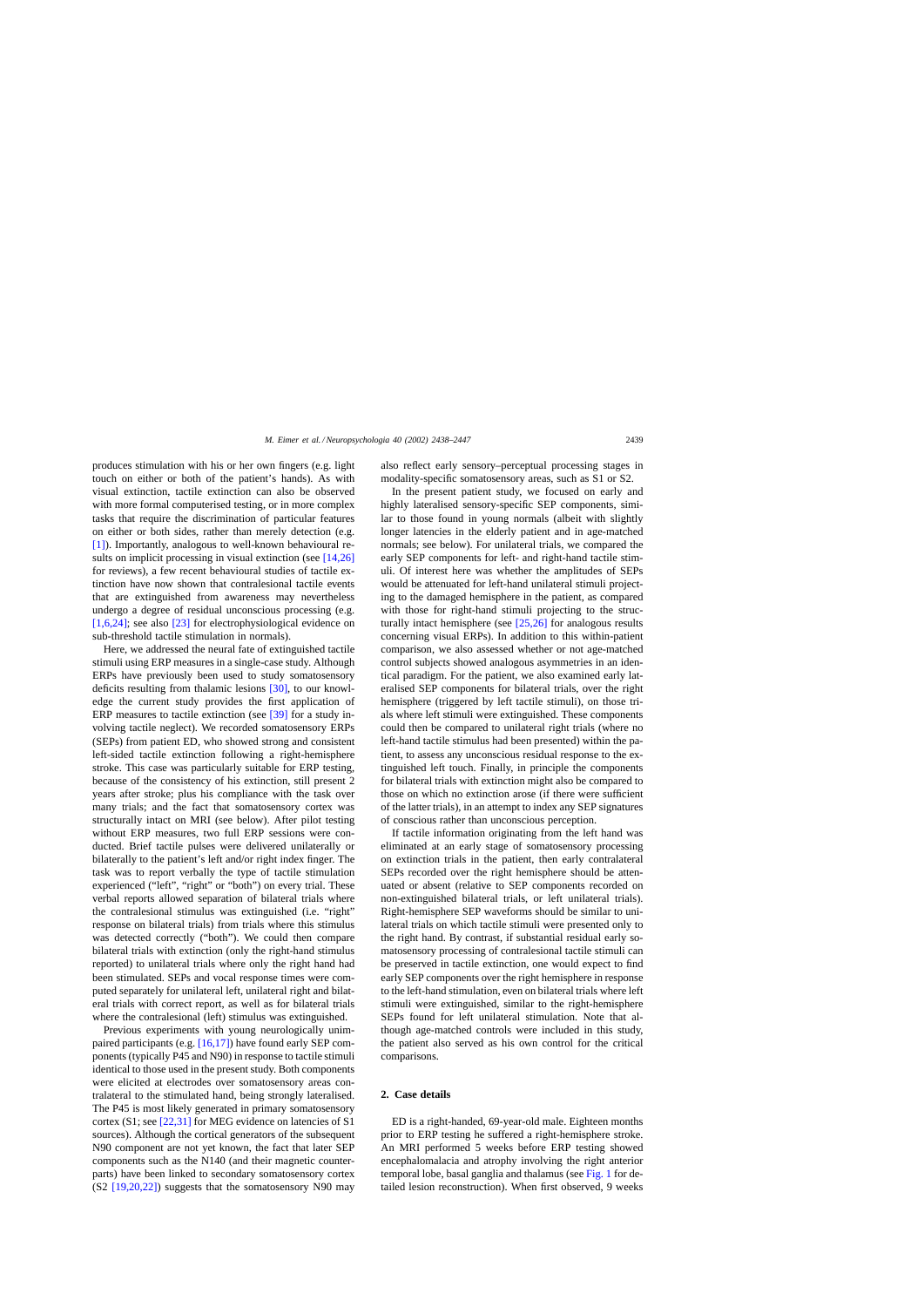produces stimulation with his or her own fingers (e.g. light touch on either or both of the patient's hands). As with visual extinction, tactile extinction can also be observed with more formal computerised testing, or in more complex tasks that require the discrimination of particular features on either or both sides, rather than merely detection (e.g. [\[1\]\).](#page-9-0) Importantly, analogous to well-known behavioural re-sults on implicit processing in visual extinction (see [\[14,26\]](#page-9-0) for reviews), a few recent behavioural studies of tactile extinction have now shown that contralesional tactile events that are extinguished from awareness may nevertheless undergo a degree of residual unconscious processing (e.g. [\[1,6,24\];](#page-9-0) see also [\[23\]](#page-9-0) for electrophysiological evidence on sub-threshold tactile stimulation in normals).

Here, we addressed the neural fate of extinguished tactile stimuli using ERP measures in a single-case study. Although ERPs have previously been used to study somatosensory deficits resulting from thalamic lesions [\[30\],](#page-9-0) to our knowledge the current study provides the first application of ERP measures to tactile extinction (see [\[39\]](#page-9-0) for a study involving tactile neglect). We recorded somatosensory ERPs (SEPs) from patient ED, who showed strong and consistent left-sided tactile extinction following a right-hemisphere stroke. This case was particularly suitable for ERP testing, because of the consistency of his extinction, still present 2 years after stroke; plus his compliance with the task over many trials; and the fact that somatosensory cortex was structurally intact on MRI (see below). After pilot testing without ERP measures, two full ERP sessions were conducted. Brief tactile pulses were delivered unilaterally or bilaterally to the patient's left and/or right index finger. The task was to report verbally the type of tactile stimulation experienced ("left", "right" or "both") on every trial. These verbal reports allowed separation of bilateral trials where the contralesional stimulus was extinguished (i.e. "right" response on bilateral trials) from trials where this stimulus was detected correctly ("both"). We could then compare bilateral trials with extinction (only the right-hand stimulus reported) to unilateral trials where only the right hand had been stimulated. SEPs and vocal response times were computed separately for unilateral left, unilateral right and bilateral trials with correct report, as well as for bilateral trials where the contralesional (left) stimulus was extinguished.

Previous experiments with young neurologically unimpaired participants (e.g. [\[16,17\]\)](#page-9-0) have found early SEP components (typically P45 and N90) in response to tactile stimuli identical to those used in the present study. Both components were elicited at electrodes over somatosensory areas contralateral to the stimulated hand, being strongly lateralised. The P45 is most likely generated in primary somatosensory cortex (S1; see [\[22,31\]](#page-9-0) for MEG evidence on latencies of S1 sources). Although the cortical generators of the subsequent N90 component are not yet known, the fact that later SEP components such as the N140 (and their magnetic counterparts) have been linked to secondary somatosensory cortex (S2 [\[19,20,22\]\)](#page-9-0) suggests that the somatosensory N90 may also reflect early sensory–perceptual processing stages in modality-specific somatosensory areas, such as S1 or S2.

In the present patient study, we focused on early and highly lateralised sensory-specific SEP components, similar to those found in young normals (albeit with slightly longer latencies in the elderly patient and in age-matched normals; see below). For unilateral trials, we compared the early SEP components for left- and right-hand tactile stimuli. Of interest here was whether the amplitudes of SEPs would be attenuated for left-hand unilateral stimuli projecting to the damaged hemisphere in the patient, as compared with those for right-hand stimuli projecting to the structurally intact hemisphere (see [\[25,26\]](#page-9-0) for analogous results concerning visual ERPs). In addition to this within-patient comparison, we also assessed whether or not age-matched control subjects showed analogous asymmetries in an identical paradigm. For the patient, we also examined early lateralised SEP components for bilateral trials, over the right hemisphere (triggered by left tactile stimuli), on those trials where left stimuli were extinguished. These components could then be compared to unilateral right trials (where no left-hand tactile stimulus had been presented) within the patient, to assess any unconscious residual response to the extinguished left touch. Finally, in principle the components for bilateral trials with extinction might also be compared to those on which no extinction arose (if there were sufficient of the latter trials), in an attempt to index any SEP signatures of conscious rather than unconscious perception.

If tactile information originating from the left hand was eliminated at an early stage of somatosensory processing on extinction trials in the patient, then early contralateral SEPs recorded over the right hemisphere should be attenuated or absent (relative to SEP components recorded on non-extinguished bilateral trials, or left unilateral trials). Right-hemisphere SEP waveforms should be similar to unilateral trials on which tactile stimuli were presented only to the right hand. By contrast, if substantial residual early somatosensory processing of contralesional tactile stimuli can be preserved in tactile extinction, one would expect to find early SEP components over the right hemisphere in response to the left-hand stimulation, even on bilateral trials where left stimuli were extinguished, similar to the right-hemisphere SEPs found for left unilateral stimulation. Note that although age-matched controls were included in this study, the patient also served as his own control for the critical comparisons.

# **2. Case details**

ED is a right-handed, 69-year-old male. Eighteen months prior to ERP testing he suffered a right-hemisphere stroke. An MRI performed 5 weeks before ERP testing showed encephalomalacia and atrophy involving the right anterior temporal lobe, basal ganglia and thalamus (see [Fig. 1](#page-2-0) for detailed lesion reconstruction). When first observed, 9 weeks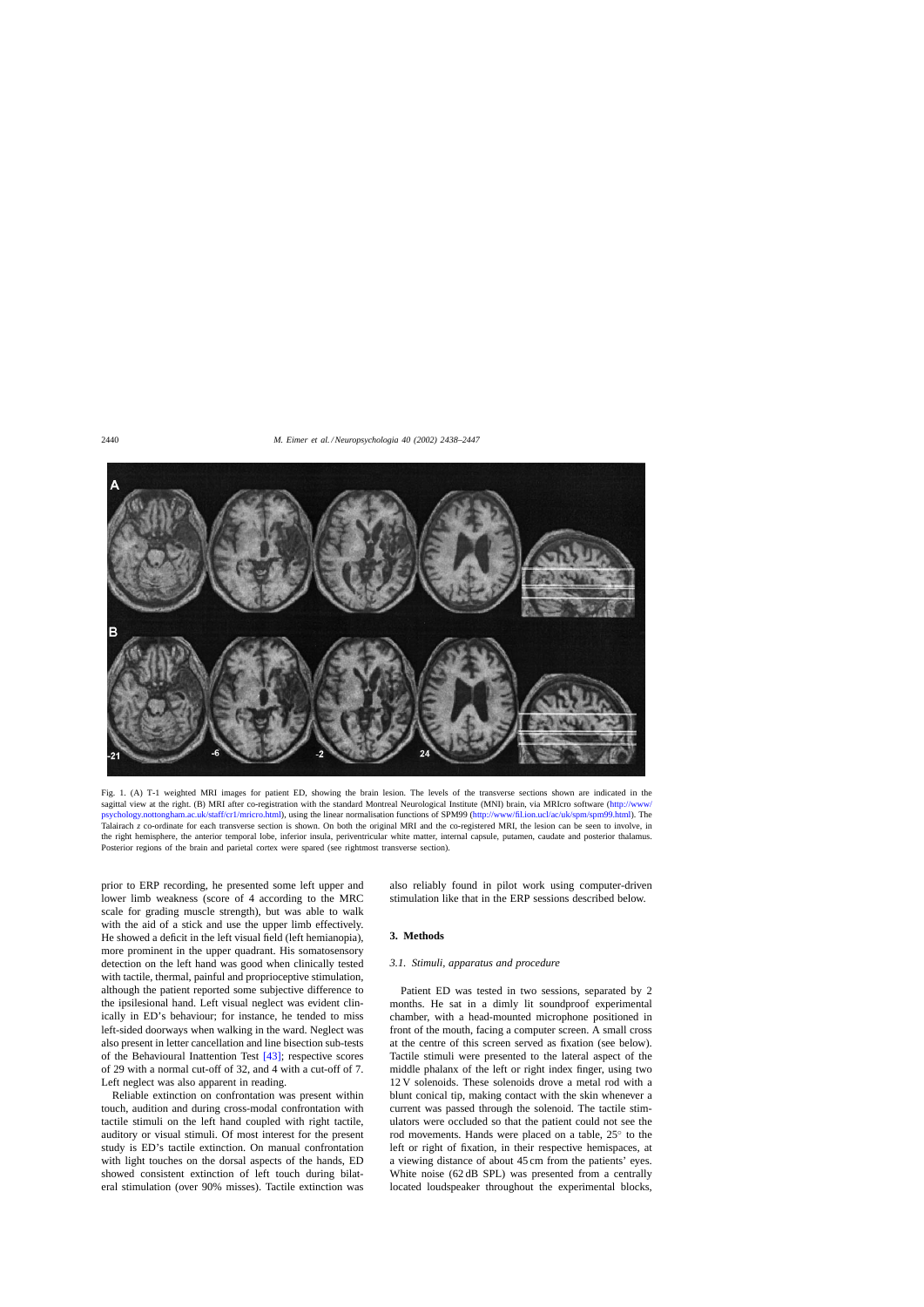<span id="page-2-0"></span>

Fig. 1. (A) T-1 weighted MRI images for patient ED, showing the brain lesion. The levels of the transverse sections shown are indicated in the sagittal view at the right. (B) MRI after co-registration with the standard Montreal Neurological Institute (MNI) brain, via MRIcro software [\(http://www/](http://www/psychology.nottongham.ac.uk/staff/cr1/mricro.html) [psychology.nottongham.ac.uk/staff/cr1/mricro.html](http://www/psychology.nottongham.ac.uk/staff/cr1/mricro.html)), using the linear normalisation functions of SPM99 [\(http://www/fil.ion.ucl/ac/uk/spm/spm99.html](http://www/fil.ion.ucl/ac/uk/spm/spm99.html)). The Talairach *z* co-ordinate for each transverse section is shown. On both the original MRI and the co-registered MRI, the lesion can be seen to involve, in the right hemisphere, the anterior temporal lobe, inferior insula, periventricular white matter, internal capsule, putamen, caudate and posterior thalamus. Posterior regions of the brain and parietal cortex were spared (see rightmost transverse section).

prior to ERP recording, he presented some left upper and lower limb weakness (score of 4 according to the MRC scale for grading muscle strength), but was able to walk with the aid of a stick and use the upper limb effectively. He showed a deficit in the left visual field (left hemianopia), more prominent in the upper quadrant. His somatosensory detection on the left hand was good when clinically tested with tactile, thermal, painful and proprioceptive stimulation, although the patient reported some subjective difference to the ipsilesional hand. Left visual neglect was evident clinically in ED's behaviour; for instance, he tended to miss left-sided doorways when walking in the ward. Neglect was also present in letter cancellation and line bisection sub-tests of the Behavioural Inattention Test [\[43\];](#page-9-0) respective scores of 29 with a normal cut-off of 32, and 4 with a cut-off of 7. Left neglect was also apparent in reading.

Reliable extinction on confrontation was present within touch, audition and during cross-modal confrontation with tactile stimuli on the left hand coupled with right tactile, auditory or visual stimuli. Of most interest for the present study is ED's tactile extinction. On manual confrontation with light touches on the dorsal aspects of the hands, ED showed consistent extinction of left touch during bilateral stimulation (over 90% misses). Tactile extinction was also reliably found in pilot work using computer-driven stimulation like that in the ERP sessions described below.

# **3. Methods**

#### *3.1. Stimuli, apparatus and procedure*

Patient ED was tested in two sessions, separated by 2 months. He sat in a dimly lit soundproof experimental chamber, with a head-mounted microphone positioned in front of the mouth, facing a computer screen. A small cross at the centre of this screen served as fixation (see below). Tactile stimuli were presented to the lateral aspect of the middle phalanx of the left or right index finger, using two 12 V solenoids. These solenoids drove a metal rod with a blunt conical tip, making contact with the skin whenever a current was passed through the solenoid. The tactile stimulators were occluded so that the patient could not see the rod movements. Hands were placed on a table, 25◦ to the left or right of fixation, in their respective hemispaces, at a viewing distance of about 45 cm from the patients' eyes. White noise (62 dB SPL) was presented from a centrally located loudspeaker throughout the experimental blocks,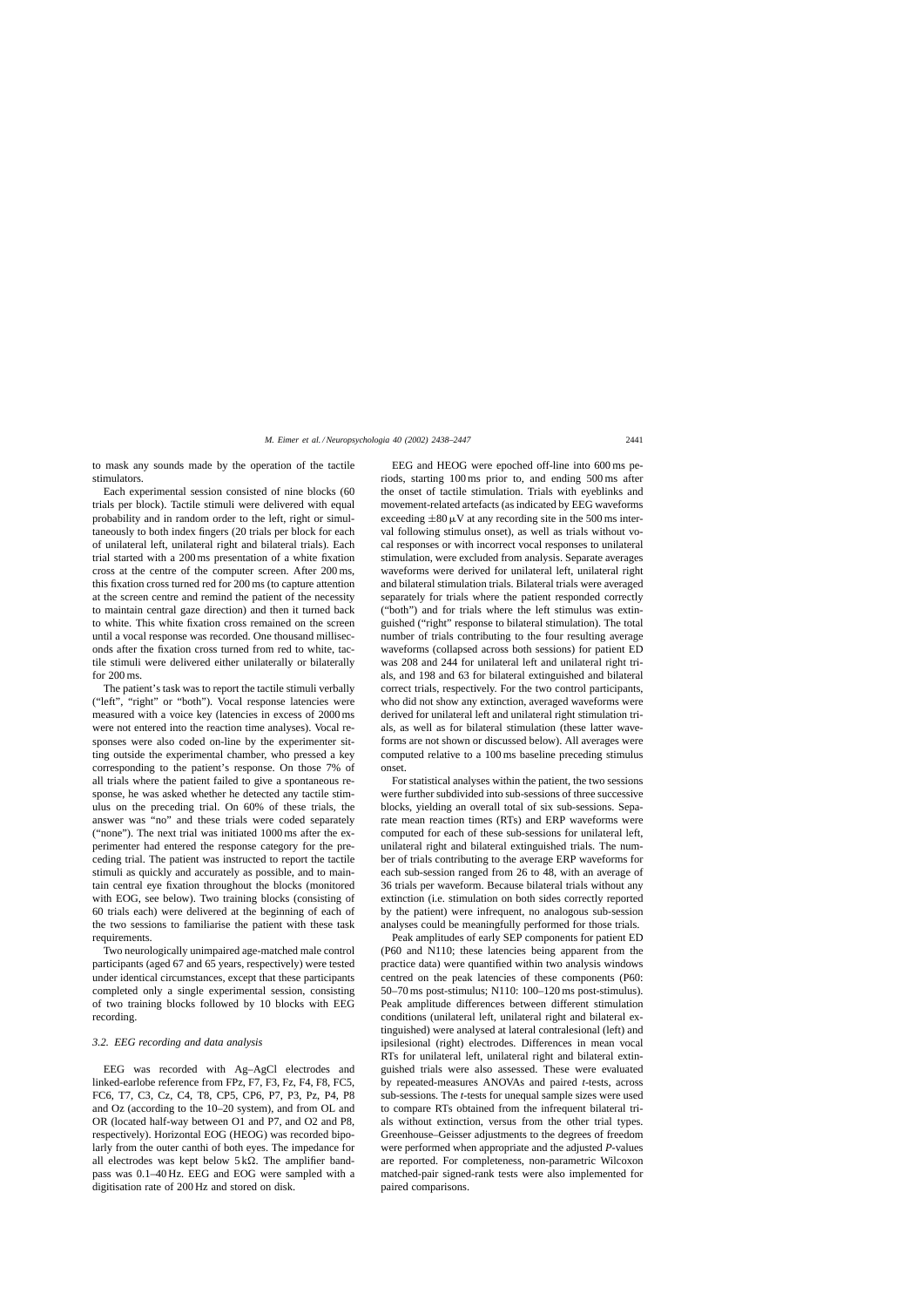to mask any sounds made by the operation of the tactile stimulators.

Each experimental session consisted of nine blocks (60 trials per block). Tactile stimuli were delivered with equal probability and in random order to the left, right or simultaneously to both index fingers (20 trials per block for each of unilateral left, unilateral right and bilateral trials). Each trial started with a 200 ms presentation of a white fixation cross at the centre of the computer screen. After 200 ms, this fixation cross turned red for 200 ms (to capture attention at the screen centre and remind the patient of the necessity to maintain central gaze direction) and then it turned back to white. This white fixation cross remained on the screen until a vocal response was recorded. One thousand milliseconds after the fixation cross turned from red to white, tactile stimuli were delivered either unilaterally or bilaterally for 200 ms.

The patient's task was to report the tactile stimuli verbally ("left", "right" or "both"). Vocal response latencies were measured with a voice key (latencies in excess of 2000 ms were not entered into the reaction time analyses). Vocal responses were also coded on-line by the experimenter sitting outside the experimental chamber, who pressed a key corresponding to the patient's response. On those 7% of all trials where the patient failed to give a spontaneous response, he was asked whether he detected any tactile stimulus on the preceding trial. On 60% of these trials, the answer was "no" and these trials were coded separately ("none"). The next trial was initiated 1000 ms after the experimenter had entered the response category for the preceding trial. The patient was instructed to report the tactile stimuli as quickly and accurately as possible, and to maintain central eye fixation throughout the blocks (monitored with EOG, see below). Two training blocks (consisting of 60 trials each) were delivered at the beginning of each of the two sessions to familiarise the patient with these task requirements.

Two neurologically unimpaired age-matched male control participants (aged 67 and 65 years, respectively) were tested under identical circumstances, except that these participants completed only a single experimental session, consisting of two training blocks followed by 10 blocks with EEG recording.

#### *3.2. EEG recording and data analysis*

EEG was recorded with Ag–AgCl electrodes and linked-earlobe reference from FPz, F7, F3, Fz, F4, F8, FC5, FC6, T7, C3, Cz, C4, T8, CP5, CP6, P7, P3, Pz, P4, P8 and Oz (according to the 10–20 system), and from OL and OR (located half-way between O1 and P7, and O2 and P8, respectively). Horizontal EOG (HEOG) was recorded bipolarly from the outer canthi of both eyes. The impedance for all electrodes was kept below  $5k\Omega$ . The amplifier bandpass was 0.1–40 Hz. EEG and EOG were sampled with a digitisation rate of 200 Hz and stored on disk.

EEG and HEOG were epoched off-line into 600 ms periods, starting 100 ms prior to, and ending 500 ms after the onset of tactile stimulation. Trials with eyeblinks and movement-related artefacts (as indicated by EEG waveforms exceeding  $\pm 80 \mu V$  at any recording site in the 500 ms interval following stimulus onset), as well as trials without vocal responses or with incorrect vocal responses to unilateral stimulation, were excluded from analysis. Separate averages waveforms were derived for unilateral left, unilateral right and bilateral stimulation trials. Bilateral trials were averaged separately for trials where the patient responded correctly ("both") and for trials where the left stimulus was extinguished ("right" response to bilateral stimulation). The total number of trials contributing to the four resulting average waveforms (collapsed across both sessions) for patient ED was 208 and 244 for unilateral left and unilateral right trials, and 198 and 63 for bilateral extinguished and bilateral correct trials, respectively. For the two control participants, who did not show any extinction, averaged waveforms were derived for unilateral left and unilateral right stimulation trials, as well as for bilateral stimulation (these latter waveforms are not shown or discussed below). All averages were computed relative to a 100 ms baseline preceding stimulus onset.

For statistical analyses within the patient, the two sessions were further subdivided into sub-sessions of three successive blocks, yielding an overall total of six sub-sessions. Separate mean reaction times (RTs) and ERP waveforms were computed for each of these sub-sessions for unilateral left, unilateral right and bilateral extinguished trials. The number of trials contributing to the average ERP waveforms for each sub-session ranged from 26 to 48, with an average of 36 trials per waveform. Because bilateral trials without any extinction (i.e. stimulation on both sides correctly reported by the patient) were infrequent, no analogous sub-session analyses could be meaningfully performed for those trials.

Peak amplitudes of early SEP components for patient ED (P60 and N110; these latencies being apparent from the practice data) were quantified within two analysis windows centred on the peak latencies of these components (P60: 50–70 ms post-stimulus; N110: 100–120 ms post-stimulus). Peak amplitude differences between different stimulation conditions (unilateral left, unilateral right and bilateral extinguished) were analysed at lateral contralesional (left) and ipsilesional (right) electrodes. Differences in mean vocal RTs for unilateral left, unilateral right and bilateral extinguished trials were also assessed. These were evaluated by repeated-measures ANOVAs and paired *t*-tests, across sub-sessions. The *t*-tests for unequal sample sizes were used to compare RTs obtained from the infrequent bilateral trials without extinction, versus from the other trial types. Greenhouse–Geisser adjustments to the degrees of freedom were performed when appropriate and the adjusted *P*-values are reported. For completeness, non-parametric Wilcoxon matched-pair signed-rank tests were also implemented for paired comparisons.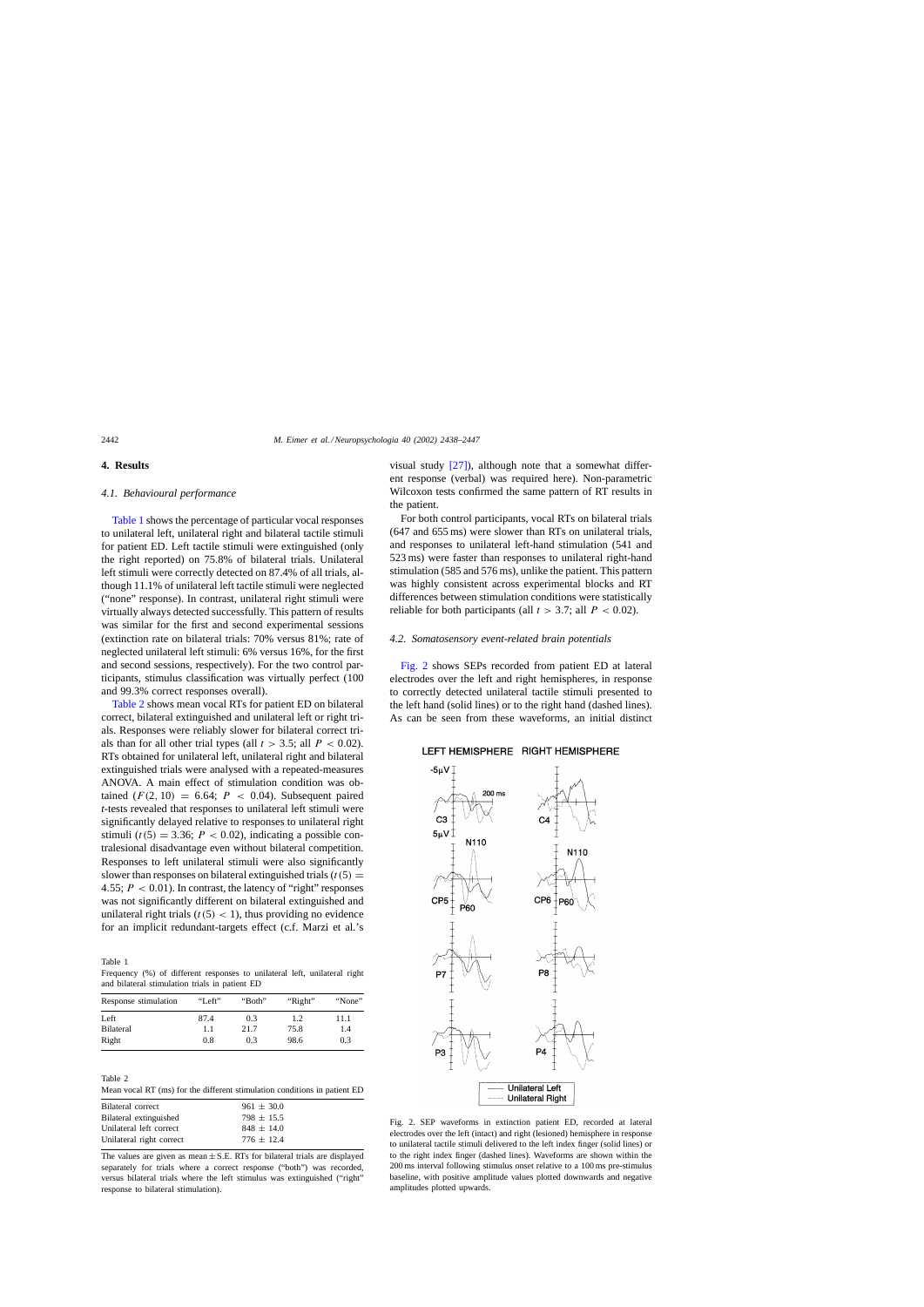#### <span id="page-4-0"></span>**4. Results**

# *4.1. Behavioural performance*

Table 1 shows the percentage of particular vocal responses to unilateral left, unilateral right and bilateral tactile stimuli for patient ED. Left tactile stimuli were extinguished (only the right reported) on 75.8% of bilateral trials. Unilateral left stimuli were correctly detected on 87.4% of all trials, although 11.1% of unilateral left tactile stimuli were neglected ("none" response). In contrast, unilateral right stimuli were virtually always detected successfully. This pattern of results was similar for the first and second experimental sessions (extinction rate on bilateral trials: 70% versus 81%; rate of neglected unilateral left stimuli: 6% versus 16%, for the first and second sessions, respectively). For the two control participants, stimulus classification was virtually perfect (100 and 99.3% correct responses overall).

Table 2 shows mean vocal RTs for patient ED on bilateral correct, bilateral extinguished and unilateral left or right trials. Responses were reliably slower for bilateral correct trials than for all other trial types (all  $t > 3.5$ ; all  $P < 0.02$ ). RTs obtained for unilateral left, unilateral right and bilateral extinguished trials were analysed with a repeated-measures ANOVA. A main effect of stimulation condition was obtained  $(F(2, 10) = 6.64; P < 0.04)$ . Subsequent paired *t*-tests revealed that responses to unilateral left stimuli were significantly delayed relative to responses to unilateral right stimuli ( $t(5) = 3.36$ ;  $P < 0.02$ ), indicating a possible contralesional disadvantage even without bilateral competition. Responses to left unilateral stimuli were also significantly slower than responses on bilateral extinguished trials  $(t(5) =$ 4.55;  $P < 0.01$ ). In contrast, the latency of "right" responses was not significantly different on bilateral extinguished and unilateral right trials  $(t(5) < 1)$ , thus providing no evidence for an implicit redundant-targets effect (c.f. Marzi et al.'s

Table 1

Frequency (%) of different responses to unilateral left, unilateral right and bilateral stimulation trials in patient ED

| Response stimulation | "Left" | "Both" | "Right" | "None" |
|----------------------|--------|--------|---------|--------|
| Left                 | 87.4   | 0.3    | 1.2     | 11.1   |
| <b>Bilateral</b>     | 1.1    | 21.7   | 75.8    | 1.4    |
| Right                | 0.8    | 0.3    | 98.6    | 0.3    |

| Table 2 |  |  |                                                                           |  |  |
|---------|--|--|---------------------------------------------------------------------------|--|--|
|         |  |  | Mean vocal RT (ms) for the different stimulation conditions in patient ED |  |  |

| Bilateral correct        | $961 \pm 30.0$ |
|--------------------------|----------------|
| Bilateral extinguished   | $798 \pm 15.5$ |
| Unilateral left correct  | $848 \pm 14.0$ |
| Unilateral right correct | $776 + 12.4$   |
|                          |                |

The values are given as mean  $\pm$  S.E. RTs for bilateral trials are displayed separately for trials where a correct response ("both") was recorded, versus bilateral trials where the left stimulus was extinguished ("right" response to bilateral stimulation).

visual study  $[27]$ , although note that a somewhat different response (verbal) was required here). Non-parametric Wilcoxon tests confirmed the same pattern of RT results in the patient.

For both control participants, vocal RTs on bilateral trials (647 and 655 ms) were slower than RTs on unilateral trials, and responses to unilateral left-hand stimulation (541 and 523 ms) were faster than responses to unilateral right-hand stimulation (585 and 576 ms), unlike the patient. This pattern was highly consistent across experimental blocks and RT differences between stimulation conditions were statistically reliable for both participants (all  $t > 3.7$ ; all  $P < 0.02$ ).

#### *4.2. Somatosensory event-related brain potentials*

Fig. 2 shows SEPs recorded from patient ED at lateral electrodes over the left and right hemispheres, in response to correctly detected unilateral tactile stimuli presented to the left hand (solid lines) or to the right hand (dashed lines). As can be seen from these waveforms, an initial distinct

#### LEFT HEMISPHERE RIGHT HEMISPHERE



Fig. 2. SEP waveforms in extinction patient ED, recorded at lateral electrodes over the left (intact) and right (lesioned) hemisphere in response to unilateral tactile stimuli delivered to the left index finger (solid lines) or to the right index finger (dashed lines). Waveforms are shown within the 200 ms interval following stimulus onset relative to a 100 ms pre-stimulus baseline, with positive amplitude values plotted downwards and negative amplitudes plotted upwards.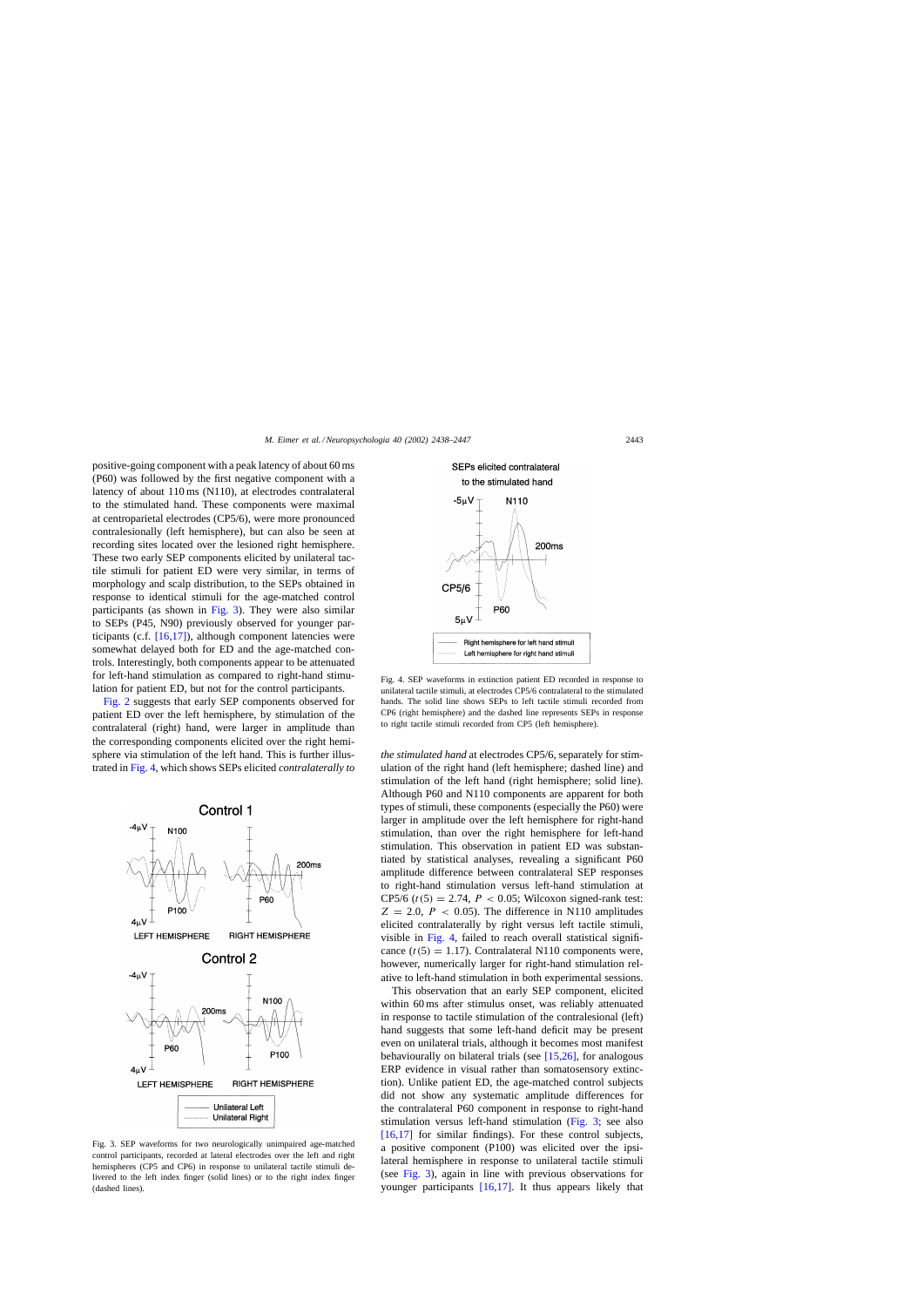<span id="page-5-0"></span>positive-going component with a peak latency of about 60 ms (P60) was followed by the first negative component with a latency of about 110 ms (N110), at electrodes contralateral to the stimulated hand. These components were maximal at centroparietal electrodes (CP5/6), were more pronounced contralesionally (left hemisphere), but can also be seen at recording sites located over the lesioned right hemisphere. These two early SEP components elicited by unilateral tactile stimuli for patient ED were very similar, in terms of morphology and scalp distribution, to the SEPs obtained in response to identical stimuli for the age-matched control participants (as shown in Fig. 3). They were also similar to SEPs (P45, N90) previously observed for younger participants (c.f. [\[16,17\]\),](#page-9-0) although component latencies were somewhat delayed both for ED and the age-matched controls. Interestingly, both components appear to be attenuated for left-hand stimulation as compared to right-hand stimulation for patient ED, but not for the control participants.

[Fig. 2](#page-4-0) suggests that early SEP components observed for patient ED over the left hemisphere, by stimulation of the contralateral (right) hand, were larger in amplitude than the corresponding components elicited over the right hemisphere via stimulation of the left hand. This is further illustrated in Fig. 4, which shows SEPs elicited *contralaterally to*



Fig. 3. SEP waveforms for two neurologically unimpaired age-matched control participants, recorded at lateral electrodes over the left and right hemispheres (CP5 and CP6) in response to unilateral tactile stimuli delivered to the left index finger (solid lines) or to the right index finger (dashed lines).



Fig. 4. SEP waveforms in extinction patient ED recorded in response to unilateral tactile stimuli, at electrodes CP5/6 contralateral to the stimulated hands. The solid line shows SEPs to left tactile stimuli recorded from CP6 (right hemisphere) and the dashed line represents SEPs in response to right tactile stimuli recorded from CP5 (left hemisphere).

*the stimulated hand* at electrodes CP5/6, separately for stimulation of the right hand (left hemisphere; dashed line) and stimulation of the left hand (right hemisphere; solid line). Although P60 and N110 components are apparent for both types of stimuli, these components (especially the P60) were larger in amplitude over the left hemisphere for right-hand stimulation, than over the right hemisphere for left-hand stimulation. This observation in patient ED was substantiated by statistical analyses, revealing a significant P60 amplitude difference between contralateral SEP responses to right-hand stimulation versus left-hand stimulation at CP5/6 ( $t(5) = 2.74$ ,  $P < 0.05$ ; Wilcoxon signed-rank test:  $Z = 2.0$ ,  $P < 0.05$ ). The difference in N110 amplitudes elicited contralaterally by right versus left tactile stimuli, visible in Fig. 4, failed to reach overall statistical significance  $(t(5) = 1.17)$ . Contralateral N110 components were, however, numerically larger for right-hand stimulation relative to left-hand stimulation in both experimental sessions.

This observation that an early SEP component, elicited within 60 ms after stimulus onset, was reliably attenuated in response to tactile stimulation of the contralesional (left) hand suggests that some left-hand deficit may be present even on unilateral trials, although it becomes most manifest behaviourally on bilateral trials (see [\[15,26\],](#page-9-0) for analogous ERP evidence in visual rather than somatosensory extinction). Unlike patient ED, the age-matched control subjects did not show any systematic amplitude differences for the contralateral P60 component in response to right-hand stimulation versus left-hand stimulation (Fig. 3; see also [\[16,17\]](#page-9-0) for similar findings). For these control subjects, a positive component (P100) was elicited over the ipsilateral hemisphere in response to unilateral tactile stimuli (see Fig. 3), again in line with previous observations for younger participants [\[16,17\].](#page-9-0) It thus appears likely that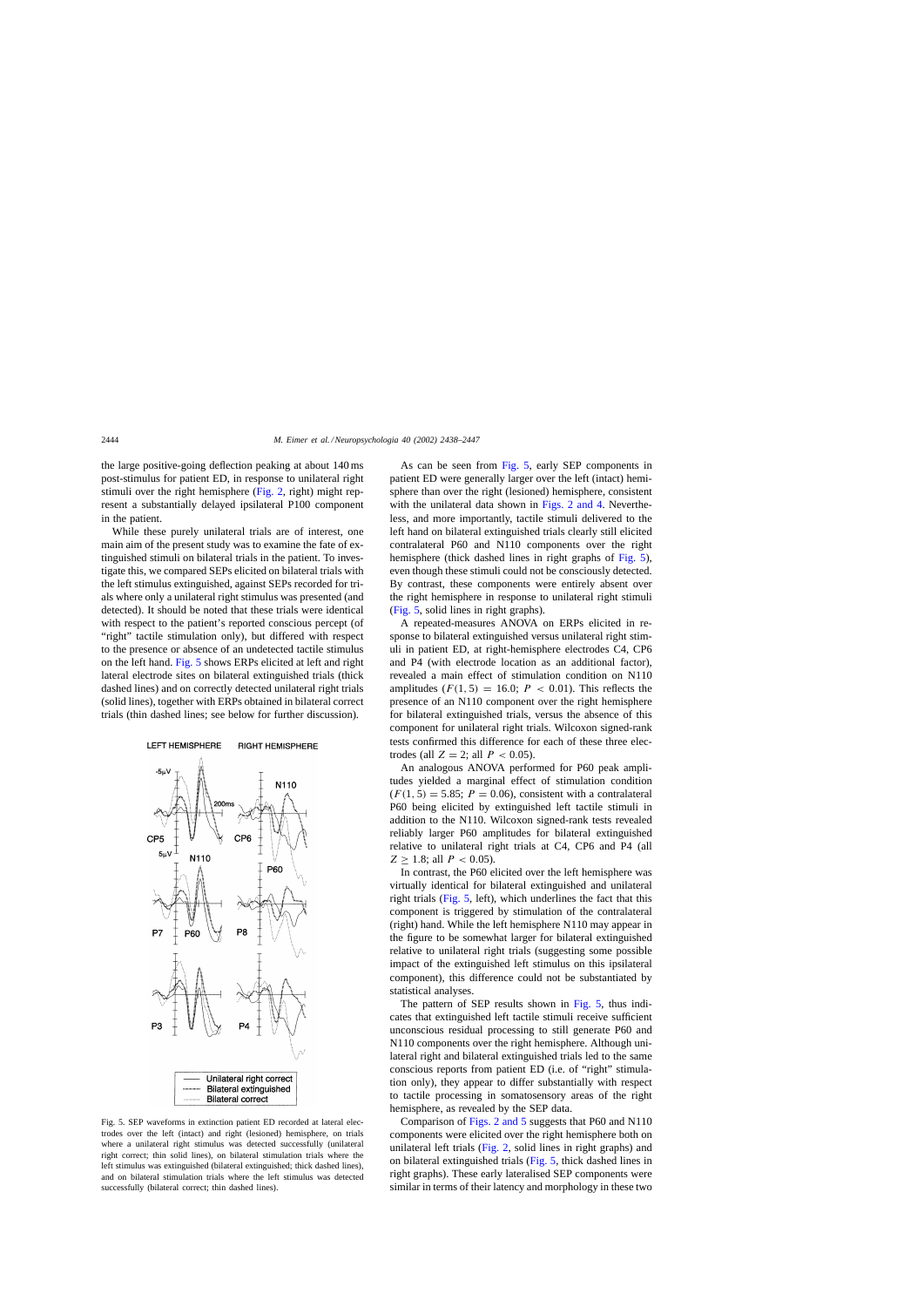<span id="page-6-0"></span>the large positive-going deflection peaking at about 140 ms post-stimulus for patient ED, in response to unilateral right stimuli over the right hemisphere ([Fig. 2,](#page-4-0) right) might represent a substantially delayed ipsilateral P100 component in the patient.

While these purely unilateral trials are of interest, one main aim of the present study was to examine the fate of extinguished stimuli on bilateral trials in the patient. To investigate this, we compared SEPs elicited on bilateral trials with the left stimulus extinguished, against SEPs recorded for trials where only a unilateral right stimulus was presented (and detected). It should be noted that these trials were identical with respect to the patient's reported conscious percept (of "right" tactile stimulation only), but differed with respect to the presence or absence of an undetected tactile stimulus on the left hand. Fig. 5 shows ERPs elicited at left and right lateral electrode sites on bilateral extinguished trials (thick dashed lines) and on correctly detected unilateral right trials (solid lines), together with ERPs obtained in bilateral correct trials (thin dashed lines; see below for further discussion).



Fig. 5. SEP waveforms in extinction patient ED recorded at lateral electrodes over the left (intact) and right (lesioned) hemisphere, on trials where a unilateral right stimulus was detected successfully (unilateral right correct; thin solid lines), on bilateral stimulation trials where the left stimulus was extinguished (bilateral extinguished; thick dashed lines), and on bilateral stimulation trials where the left stimulus was detected successfully (bilateral correct; thin dashed lines).

As can be seen from Fig. 5, early SEP components in patient ED were generally larger over the left (intact) hemisphere than over the right (lesioned) hemisphere, consistent with the unilateral data shown in [Figs. 2 and 4.](#page-4-0) Nevertheless, and more importantly, tactile stimuli delivered to the left hand on bilateral extinguished trials clearly still elicited contralateral P60 and N110 components over the right hemisphere (thick dashed lines in right graphs of Fig. 5), even though these stimuli could not be consciously detected. By contrast, these components were entirely absent over the right hemisphere in response to unilateral right stimuli (Fig. 5, solid lines in right graphs).

A repeated-measures ANOVA on ERPs elicited in response to bilateral extinguished versus unilateral right stimuli in patient ED, at right-hemisphere electrodes C4, CP6 and P4 (with electrode location as an additional factor), revealed a main effect of stimulation condition on N110 amplitudes  $(F(1, 5) = 16.0; P < 0.01)$ . This reflects the presence of an N110 component over the right hemisphere for bilateral extinguished trials, versus the absence of this component for unilateral right trials. Wilcoxon signed-rank tests confirmed this difference for each of these three electrodes (all  $Z = 2$ ; all  $P < 0.05$ ).

An analogous ANOVA performed for P60 peak amplitudes yielded a marginal effect of stimulation condition  $(F(1, 5) = 5.85; P = 0.06)$ , consistent with a contralateral P60 being elicited by extinguished left tactile stimuli in addition to the N110. Wilcoxon signed-rank tests revealed reliably larger P60 amplitudes for bilateral extinguished relative to unilateral right trials at C4, CP6 and P4 (all  $Z \ge 1.8$ ; all  $P < 0.05$ ).

In contrast, the P60 elicited over the left hemisphere was virtually identical for bilateral extinguished and unilateral right trials (Fig. 5, left), which underlines the fact that this component is triggered by stimulation of the contralateral (right) hand. While the left hemisphere N110 may appear in the figure to be somewhat larger for bilateral extinguished relative to unilateral right trials (suggesting some possible impact of the extinguished left stimulus on this ipsilateral component), this difference could not be substantiated by statistical analyses.

The pattern of SEP results shown in Fig. 5, thus indicates that extinguished left tactile stimuli receive sufficient unconscious residual processing to still generate P60 and N110 components over the right hemisphere. Although unilateral right and bilateral extinguished trials led to the same conscious reports from patient ED (i.e. of "right" stimulation only), they appear to differ substantially with respect to tactile processing in somatosensory areas of the right hemisphere, as revealed by the SEP data.

Comparison of [Figs. 2 and 5](#page-4-0) suggests that P60 and N110 components were elicited over the right hemisphere both on unilateral left trials [\(Fig. 2,](#page-4-0) solid lines in right graphs) and on bilateral extinguished trials (Fig. 5, thick dashed lines in right graphs). These early lateralised SEP components were similar in terms of their latency and morphology in these two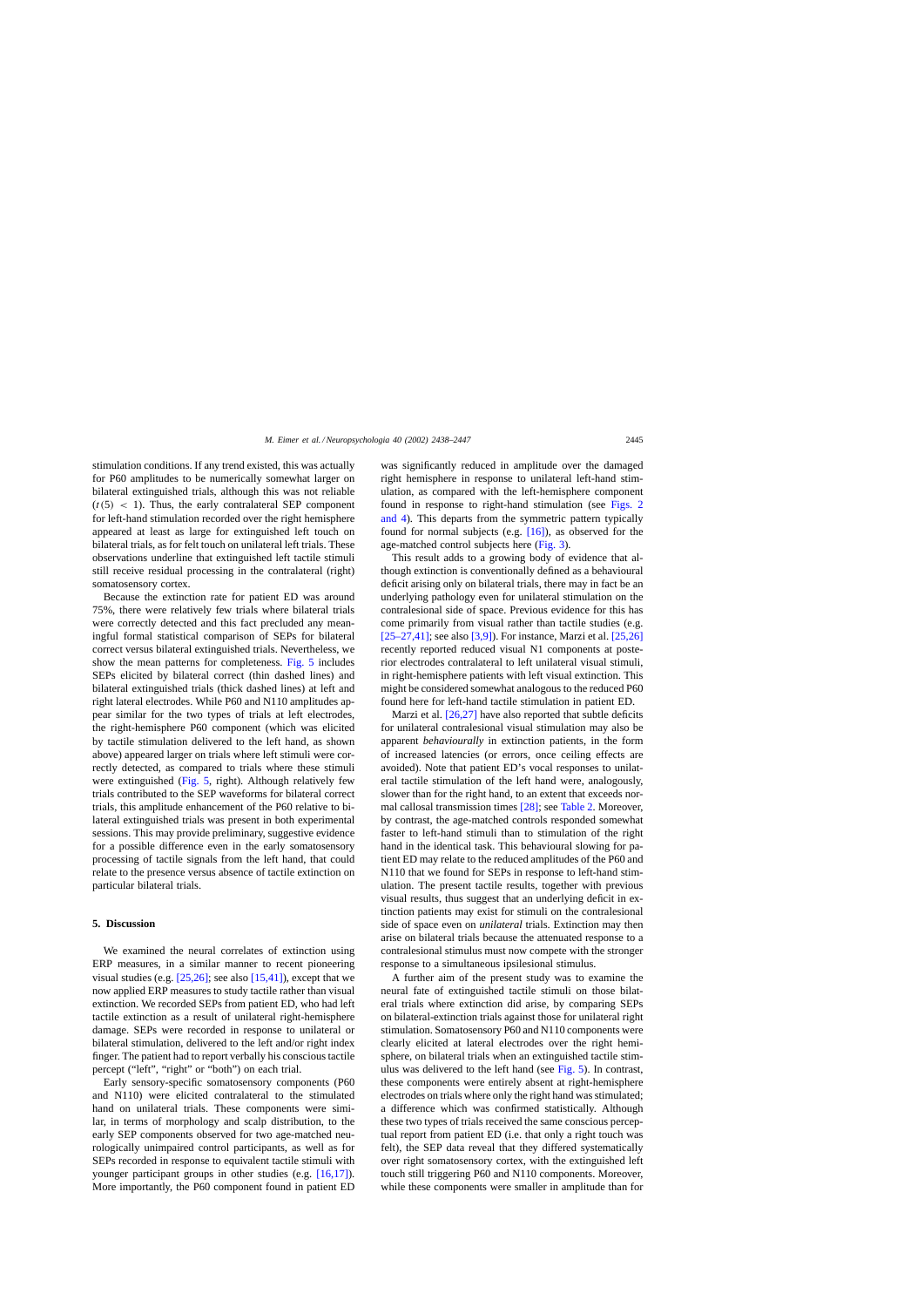stimulation conditions. If any trend existed, this was actually for P60 amplitudes to be numerically somewhat larger on bilateral extinguished trials, although this was not reliable  $(t(5) < 1)$ . Thus, the early contralateral SEP component for left-hand stimulation recorded over the right hemisphere appeared at least as large for extinguished left touch on bilateral trials, as for felt touch on unilateral left trials. These observations underline that extinguished left tactile stimuli still receive residual processing in the contralateral (right) somatosensory cortex.

Because the extinction rate for patient ED was around 75%, there were relatively few trials where bilateral trials were correctly detected and this fact precluded any meaningful formal statistical comparison of SEPs for bilateral correct versus bilateral extinguished trials. Nevertheless, we show the mean patterns for completeness. [Fig. 5](#page-6-0) includes SEPs elicited by bilateral correct (thin dashed lines) and bilateral extinguished trials (thick dashed lines) at left and right lateral electrodes. While P60 and N110 amplitudes appear similar for the two types of trials at left electrodes, the right-hemisphere P60 component (which was elicited by tactile stimulation delivered to the left hand, as shown above) appeared larger on trials where left stimuli were correctly detected, as compared to trials where these stimuli were extinguished ([Fig. 5,](#page-6-0) right). Although relatively few trials contributed to the SEP waveforms for bilateral correct trials, this amplitude enhancement of the P60 relative to bilateral extinguished trials was present in both experimental sessions. This may provide preliminary, suggestive evidence for a possible difference even in the early somatosensory processing of tactile signals from the left hand, that could relate to the presence versus absence of tactile extinction on particular bilateral trials.

#### **5. Discussion**

We examined the neural correlates of extinction using ERP measures, in a similar manner to recent pioneering visual studies (e.g.  $[25,26]$ ; see also  $[15,41]$ ), except that we now applied ERP measures to study tactile rather than visual extinction. We recorded SEPs from patient ED, who had left tactile extinction as a result of unilateral right-hemisphere damage. SEPs were recorded in response to unilateral or bilateral stimulation, delivered to the left and/or right index finger. The patient had to report verbally his conscious tactile percept ("left", "right" or "both") on each trial.

Early sensory-specific somatosensory components (P60 and N110) were elicited contralateral to the stimulated hand on unilateral trials. These components were similar, in terms of morphology and scalp distribution, to the early SEP components observed for two age-matched neurologically unimpaired control participants, as well as for SEPs recorded in response to equivalent tactile stimuli with younger participant groups in other studies (e.g.  $[16,17]$ ). More importantly, the P60 component found in patient ED was significantly reduced in amplitude over the damaged right hemisphere in response to unilateral left-hand stimulation, as compared with the left-hemisphere component found in response to right-hand stimulation (see [Figs. 2](#page-4-0) [and 4\).](#page-4-0) This departs from the symmetric pattern typically found for normal subjects (e.g. [\[16\]\),](#page-9-0) as observed for the age-matched control subjects here ([Fig. 3\).](#page-5-0)

This result adds to a growing body of evidence that although extinction is conventionally defined as a behavioural deficit arising only on bilateral trials, there may in fact be an underlying pathology even for unilateral stimulation on the contralesional side of space. Previous evidence for this has come primarily from visual rather than tactile studies (e.g.  $[25-27,41]$ ; see also  $[3,9]$ ). For instance, Marzi et al.  $[25,26]$ recently reported reduced visual N1 components at posterior electrodes contralateral to left unilateral visual stimuli, in right-hemisphere patients with left visual extinction. This might be considered somewhat analogous to the reduced P60 found here for left-hand tactile stimulation in patient ED.

Marzi et al.  $[26,27]$  have also reported that subtle deficits for unilateral contralesional visual stimulation may also be apparent *behaviourally* in extinction patients, in the form of increased latencies (or errors, once ceiling effects are avoided). Note that patient ED's vocal responses to unilateral tactile stimulation of the left hand were, analogously, slower than for the right hand, to an extent that exceeds normal callosal transmission times [\[28\];](#page-9-0) see [Table 2. M](#page-4-0)oreover, by contrast, the age-matched controls responded somewhat faster to left-hand stimuli than to stimulation of the right hand in the identical task. This behavioural slowing for patient ED may relate to the reduced amplitudes of the P60 and N110 that we found for SEPs in response to left-hand stimulation. The present tactile results, together with previous visual results, thus suggest that an underlying deficit in extinction patients may exist for stimuli on the contralesional side of space even on *unilateral* trials. Extinction may then arise on bilateral trials because the attenuated response to a contralesional stimulus must now compete with the stronger response to a simultaneous ipsilesional stimulus.

A further aim of the present study was to examine the neural fate of extinguished tactile stimuli on those bilateral trials where extinction did arise, by comparing SEPs on bilateral-extinction trials against those for unilateral right stimulation. Somatosensory P60 and N110 components were clearly elicited at lateral electrodes over the right hemisphere, on bilateral trials when an extinguished tactile stimulus was delivered to the left hand (see  $Fig. 5$ ). In contrast, these components were entirely absent at right-hemisphere electrodes on trials where only the right hand was stimulated; a difference which was confirmed statistically. Although these two types of trials received the same conscious perceptual report from patient ED (i.e. that only a right touch was felt), the SEP data reveal that they differed systematically over right somatosensory cortex, with the extinguished left touch still triggering P60 and N110 components. Moreover, while these components were smaller in amplitude than for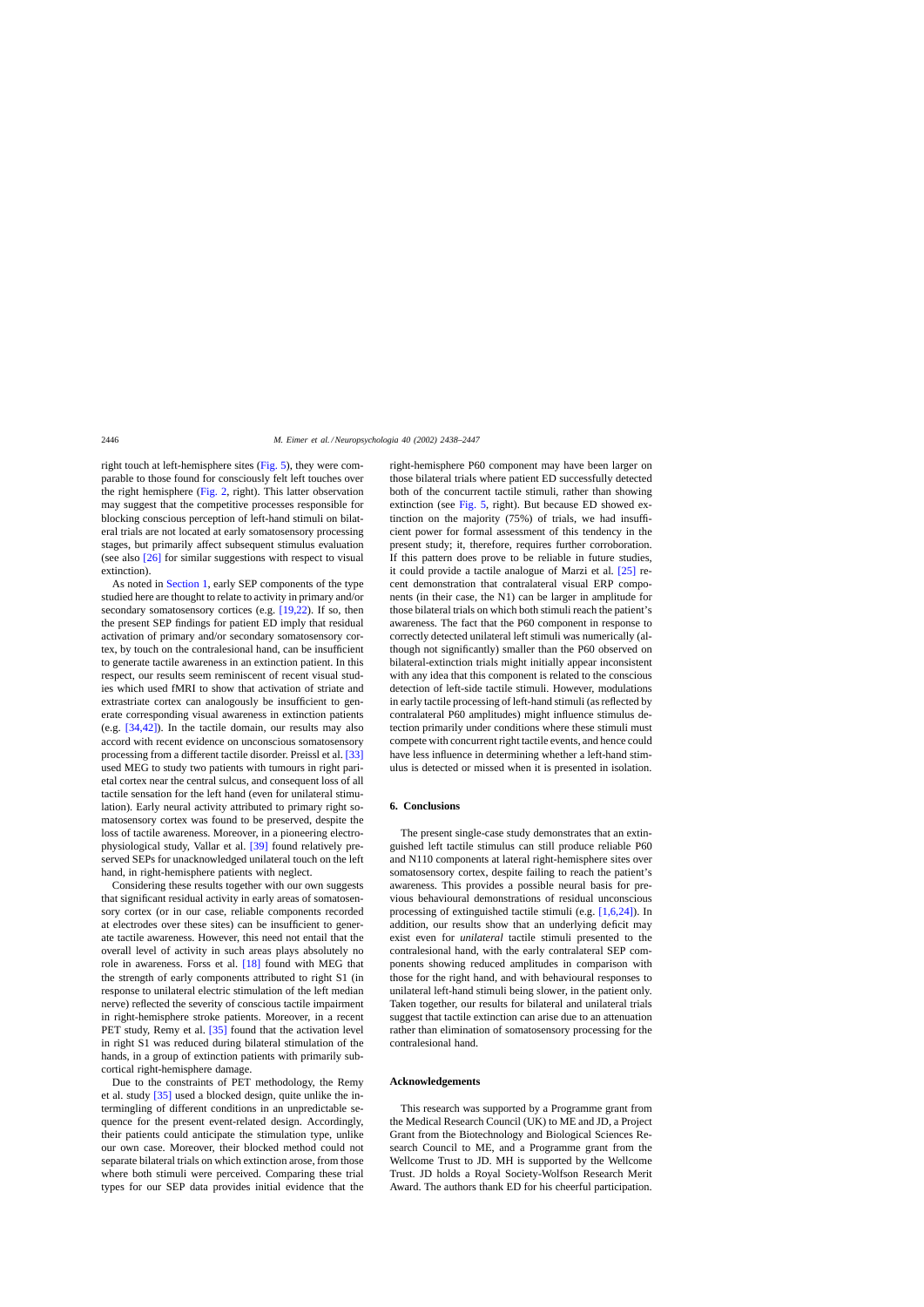right touch at left-hemisphere sites [\(Fig. 5\),](#page-6-0) they were comparable to those found for consciously felt left touches over the right hemisphere ([Fig. 2,](#page-4-0) right). This latter observation may suggest that the competitive processes responsible for blocking conscious perception of left-hand stimuli on bilateral trials are not located at early somatosensory processing stages, but primarily affect subsequent stimulus evaluation (see also [\[26\]](#page-9-0) for similar suggestions with respect to visual extinction).

As noted in [Section 1, e](#page-0-0)arly SEP components of the type studied here are thought to relate to activity in primary and/or secondary somatosensory cortices (e.g.  $[19,22)$ ). If so, then the present SEP findings for patient ED imply that residual activation of primary and/or secondary somatosensory cortex, by touch on the contralesional hand, can be insufficient to generate tactile awareness in an extinction patient. In this respect, our results seem reminiscent of recent visual studies which used fMRI to show that activation of striate and extrastriate cortex can analogously be insufficient to generate corresponding visual awareness in extinction patients (e.g. [\[34,42\]\).](#page-9-0) In the tactile domain, our results may also accord with recent evidence on unconscious somatosensory processing from a different tactile disorder. Preissl et al. [\[33\]](#page-9-0) used MEG to study two patients with tumours in right parietal cortex near the central sulcus, and consequent loss of all tactile sensation for the left hand (even for unilateral stimulation). Early neural activity attributed to primary right somatosensory cortex was found to be preserved, despite the loss of tactile awareness. Moreover, in a pioneering electrophysiological study, Vallar et al. [\[39\]](#page-9-0) found relatively preserved SEPs for unacknowledged unilateral touch on the left hand, in right-hemisphere patients with neglect.

Considering these results together with our own suggests that significant residual activity in early areas of somatosensory cortex (or in our case, reliable components recorded at electrodes over these sites) can be insufficient to generate tactile awareness. However, this need not entail that the overall level of activity in such areas plays absolutely no role in awareness. Forss et al. [\[18\]](#page-9-0) found with MEG that the strength of early components attributed to right S1 (in response to unilateral electric stimulation of the left median nerve) reflected the severity of conscious tactile impairment in right-hemisphere stroke patients. Moreover, in a recent PET study, Remy et al. [\[35\]](#page-9-0) found that the activation level in right S1 was reduced during bilateral stimulation of the hands, in a group of extinction patients with primarily subcortical right-hemisphere damage.

Due to the constraints of PET methodology, the Remy et al. study [\[35\]](#page-9-0) used a blocked design, quite unlike the intermingling of different conditions in an unpredictable sequence for the present event-related design. Accordingly, their patients could anticipate the stimulation type, unlike our own case. Moreover, their blocked method could not separate bilateral trials on which extinction arose, from those where both stimuli were perceived. Comparing these trial types for our SEP data provides initial evidence that the

right-hemisphere P60 component may have been larger on those bilateral trials where patient ED successfully detected both of the concurrent tactile stimuli, rather than showing extinction (see [Fig. 5,](#page-6-0) right). But because ED showed extinction on the majority (75%) of trials, we had insufficient power for formal assessment of this tendency in the present study; it, therefore, requires further corroboration. If this pattern does prove to be reliable in future studies, it could provide a tactile analogue of Marzi et al. [\[25\]](#page-9-0) recent demonstration that contralateral visual ERP components (in their case, the N1) can be larger in amplitude for those bilateral trials on which both stimuli reach the patient's awareness. The fact that the P60 component in response to correctly detected unilateral left stimuli was numerically (although not significantly) smaller than the P60 observed on bilateral-extinction trials might initially appear inconsistent with any idea that this component is related to the conscious detection of left-side tactile stimuli. However, modulations in early tactile processing of left-hand stimuli (as reflected by contralateral P60 amplitudes) might influence stimulus detection primarily under conditions where these stimuli must compete with concurrent right tactile events, and hence could have less influence in determining whether a left-hand stimulus is detected or missed when it is presented in isolation.

# **6. Conclusions**

The present single-case study demonstrates that an extinguished left tactile stimulus can still produce reliable P60 and N110 components at lateral right-hemisphere sites over somatosensory cortex, despite failing to reach the patient's awareness. This provides a possible neural basis for previous behavioural demonstrations of residual unconscious processing of extinguished tactile stimuli (e.g. [\[1,6,24\]\).](#page-9-0) In addition, our results show that an underlying deficit may exist even for *unilateral* tactile stimuli presented to the contralesional hand, with the early contralateral SEP components showing reduced amplitudes in comparison with those for the right hand, and with behavioural responses to unilateral left-hand stimuli being slower, in the patient only. Taken together, our results for bilateral and unilateral trials suggest that tactile extinction can arise due to an attenuation rather than elimination of somatosensory processing for the contralesional hand.

# **Acknowledgements**

This research was supported by a Programme grant from the Medical Research Council (UK) to ME and JD, a Project Grant from the Biotechnology and Biological Sciences Research Council to ME, and a Programme grant from the Wellcome Trust to JD. MH is supported by the Wellcome Trust. JD holds a Royal Society-Wolfson Research Merit Award. The authors thank ED for his cheerful participation.